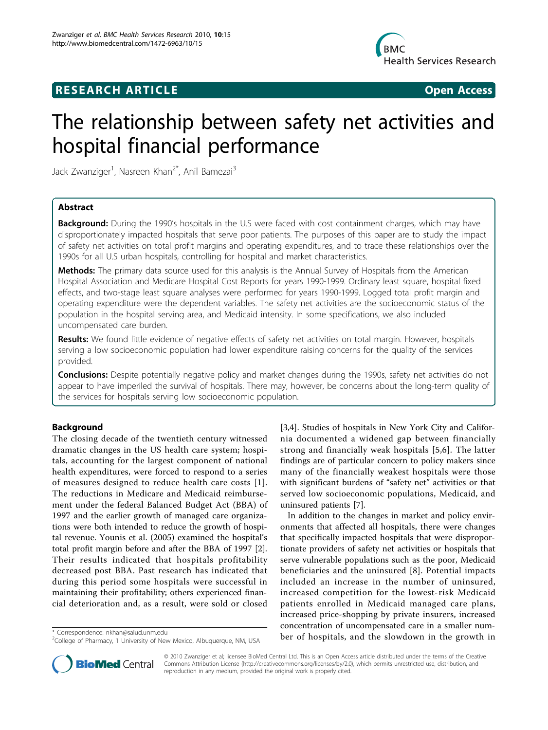## **RESEARCH ARTICLE Example 2018 Open Access**



# The relationship between safety net activities and hospital financial performance

Jack Zwanziger<sup>1</sup>, Nasreen Khan<sup>2\*</sup>, Anil Bamezai<sup>3</sup>

## Abstract

**Background:** During the 1990's hospitals in the U.S were faced with cost containment charges, which may have disproportionately impacted hospitals that serve poor patients. The purposes of this paper are to study the impact of safety net activities on total profit margins and operating expenditures, and to trace these relationships over the 1990s for all U.S urban hospitals, controlling for hospital and market characteristics.

Methods: The primary data source used for this analysis is the Annual Survey of Hospitals from the American Hospital Association and Medicare Hospital Cost Reports for years 1990-1999. Ordinary least square, hospital fixed effects, and two-stage least square analyses were performed for years 1990-1999. Logged total profit margin and operating expenditure were the dependent variables. The safety net activities are the socioeconomic status of the population in the hospital serving area, and Medicaid intensity. In some specifications, we also included uncompensated care burden.

Results: We found little evidence of negative effects of safety net activities on total margin. However, hospitals serving a low socioeconomic population had lower expenditure raising concerns for the quality of the services provided.

Conclusions: Despite potentially negative policy and market changes during the 1990s, safety net activities do not appear to have imperiled the survival of hospitals. There may, however, be concerns about the long-term quality of the services for hospitals serving low socioeconomic population.

## Background

The closing decade of the twentieth century witnessed dramatic changes in the US health care system; hospitals, accounting for the largest component of national health expenditures, were forced to respond to a series of measures designed to reduce health care costs [[1\]](#page-11-0). The reductions in Medicare and Medicaid reimbursement under the federal Balanced Budget Act (BBA) of 1997 and the earlier growth of managed care organizations were both intended to reduce the growth of hospital revenue. Younis et al. (2005) examined the hospital's total profit margin before and after the BBA of 1997 [\[2](#page-11-0)]. Their results indicated that hospitals profitability decreased post BBA. Past research has indicated that during this period some hospitals were successful in maintaining their profitability; others experienced financial deterioration and, as a result, were sold or closed

[[3,4\]](#page-11-0). Studies of hospitals in New York City and California documented a widened gap between financially strong and financially weak hospitals [[5](#page-11-0),[6\]](#page-11-0). The latter findings are of particular concern to policy makers since many of the financially weakest hospitals were those with significant burdens of "safety net" activities or that served low socioeconomic populations, Medicaid, and uninsured patients [\[7](#page-11-0)].

In addition to the changes in market and policy environments that affected all hospitals, there were changes that specifically impacted hospitals that were disproportionate providers of safety net activities or hospitals that serve vulnerable populations such as the poor, Medicaid beneficiaries and the uninsured [[8\]](#page-11-0). Potential impacts included an increase in the number of uninsured, increased competition for the lowest-risk Medicaid patients enrolled in Medicaid managed care plans, increased price-shopping by private insurers, increased concentration of uncompensated care in a smaller num\* Correspondence: [nkhan@salud.unm.edu](mailto:nkhan@salud.unm.edu)<br>
<sup>2</sup>Collogo of Phymory 1 University of Now Movice, Albuquerque, NM USA **ber of hospitals, and the slowdown in the growth in** 



© 2010 Zwanziger et al; licensee BioMed Central Ltd. This is an Open Access article distributed under the terms of the Creative Commons Attribution License [\(http://creativecommons.org/licenses/by/2.0](http://creativecommons.org/licenses/by/2.0)), which permits unrestricted use, distribution, and reproduction in any medium, provided the original work is properly cited.

<sup>&</sup>lt;sup>2</sup>College of Pharmacy, 1 University of New Mexico, Albuquerque, NM, USA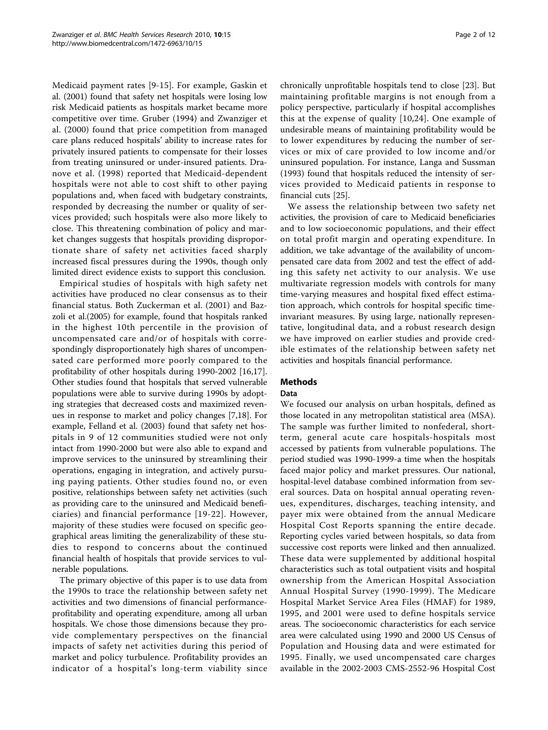Medicaid payment rates [[9-15\]](#page-11-0). For example, Gaskin et al. (2001) found that safety net hospitals were losing low risk Medicaid patients as hospitals market became more competitive over time. Gruber (1994) and Zwanziger et al. (2000) found that price competition from managed care plans reduced hospitals' ability to increase rates for privately insured patients to compensate for their losses from treating uninsured or under-insured patients. Dranove et al. (1998) reported that Medicaid-dependent hospitals were not able to cost shift to other paying populations and, when faced with budgetary constraints, responded by decreasing the number or quality of services provided; such hospitals were also more likely to close. This threatening combination of policy and market changes suggests that hospitals providing disproportionate share of safety net activities faced sharply increased fiscal pressures during the 1990s, though only limited direct evidence exists to support this conclusion.

Empirical studies of hospitals with high safety net activities have produced no clear consensus as to their financial status. Both Zuckerman et al. (2001) and Bazzoli et al.(2005) for example, found that hospitals ranked in the highest 10th percentile in the provision of uncompensated care and/or of hospitals with correspondingly disproportionately high shares of uncompensated care performed more poorly compared to the profitability of other hospitals during 1990-2002 [\[16,17](#page-11-0)]. Other studies found that hospitals that served vulnerable populations were able to survive during 1990s by adopting strategies that decreased costs and maximized revenues in response to market and policy changes [\[7,18](#page-11-0)]. For example, Felland et al. (2003) found that safety net hospitals in 9 of 12 communities studied were not only intact from 1990-2000 but were also able to expand and improve services to the uninsured by streamlining their operations, engaging in integration, and actively pursuing paying patients. Other studies found no, or even positive, relationships between safety net activities (such as providing care to the uninsured and Medicaid beneficiaries) and financial performance [[19-22](#page-11-0)]. However, majority of these studies were focused on specific geographical areas limiting the generalizability of these studies to respond to concerns about the continued financial health of hospitals that provide services to vulnerable populations.

The primary objective of this paper is to use data from the 1990s to trace the relationship between safety net activities and two dimensions of financial performanceprofitability and operating expenditure, among all urban hospitals. We chose those dimensions because they provide complementary perspectives on the financial impacts of safety net activities during this period of market and policy turbulence. Profitability provides an indicator of a hospital's long-term viability since

chronically unprofitable hospitals tend to close [[23\]](#page-11-0). But maintaining profitable margins is not enough from a policy perspective, particularly if hospital accomplishes this at the expense of quality [[10,24\]](#page-11-0). One example of undesirable means of maintaining profitability would be to lower expenditures by reducing the number of services or mix of care provided to low income and/or uninsured population. For instance, Langa and Sussman (1993) found that hospitals reduced the intensity of services provided to Medicaid patients in response to financial cuts [\[25](#page-11-0)].

We assess the relationship between two safety net activities, the provision of care to Medicaid beneficiaries and to low socioeconomic populations, and their effect on total profit margin and operating expenditure. In addition, we take advantage of the availability of uncompensated care data from 2002 and test the effect of adding this safety net activity to our analysis. We use multivariate regression models with controls for many time-varying measures and hospital fixed effect estimation approach, which controls for hospital specific timeinvariant measures. By using large, nationally representative, longitudinal data, and a robust research design we have improved on earlier studies and provide credible estimates of the relationship between safety net activities and hospitals financial performance.

## Methods

## Data

We focused our analysis on urban hospitals, defined as those located in any metropolitan statistical area (MSA). The sample was further limited to nonfederal, shortterm, general acute care hospitals-hospitals most accessed by patients from vulnerable populations. The period studied was 1990-1999-a time when the hospitals faced major policy and market pressures. Our national, hospital-level database combined information from several sources. Data on hospital annual operating revenues, expenditures, discharges, teaching intensity, and payer mix were obtained from the annual Medicare Hospital Cost Reports spanning the entire decade. Reporting cycles varied between hospitals, so data from successive cost reports were linked and then annualized. These data were supplemented by additional hospital characteristics such as total outpatient visits and hospital ownership from the American Hospital Association Annual Hospital Survey (1990-1999). The Medicare Hospital Market Service Area Files (HMAF) for 1989, 1995, and 2001 were used to define hospitals service areas. The socioeconomic characteristics for each service area were calculated using 1990 and 2000 US Census of Population and Housing data and were estimated for 1995. Finally, we used uncompensated care charges available in the 2002-2003 CMS-2552-96 Hospital Cost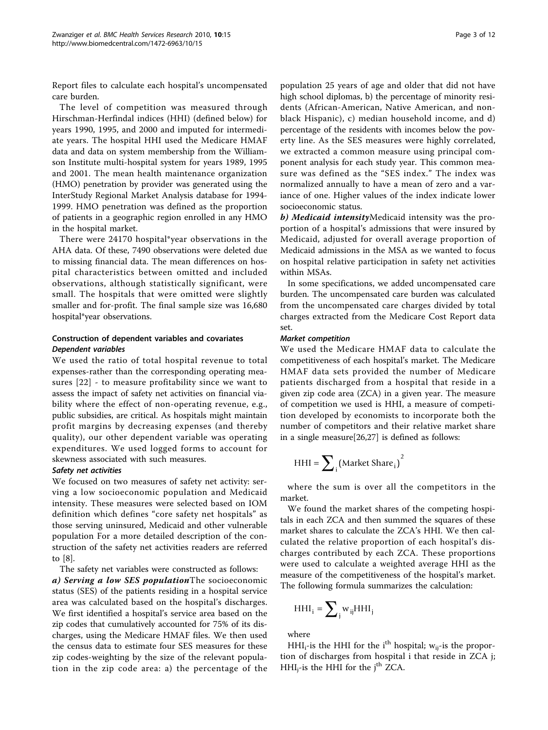Report files to calculate each hospital's uncompensated care burden.

The level of competition was measured through Hirschman-Herfindal indices (HHI) (defined below) for years 1990, 1995, and 2000 and imputed for intermediate years. The hospital HHI used the Medicare HMAF data and data on system membership from the Williamson Institute multi-hospital system for years 1989, 1995 and 2001. The mean health maintenance organization (HMO) penetration by provider was generated using the InterStudy Regional Market Analysis database for 1994- 1999. HMO penetration was defined as the proportion of patients in a geographic region enrolled in any HMO in the hospital market.

There were 24170 hospital\*year observations in the AHA data. Of these, 7490 observations were deleted due to missing financial data. The mean differences on hospital characteristics between omitted and included observations, although statistically significant, were small. The hospitals that were omitted were slightly smaller and for-profit. The final sample size was 16,680 hospital\*year observations.

## Construction of dependent variables and covariates Dependent variables

We used the ratio of total hospital revenue to total expenses-rather than the corresponding operating measures [[22](#page-11-0)] - to measure profitability since we want to assess the impact of safety net activities on financial viability where the effect of non-operating revenue, e.g., public subsidies, are critical. As hospitals might maintain profit margins by decreasing expenses (and thereby quality), our other dependent variable was operating expenditures. We used logged forms to account for skewness associated with such measures.

## Safety net activities

We focused on two measures of safety net activity: serving a low socioeconomic population and Medicaid intensity. These measures were selected based on IOM definition which defines "core safety net hospitals" as those serving uninsured, Medicaid and other vulnerable population For a more detailed description of the construction of the safety net activities readers are referred to [\[8](#page-11-0)].

The safety net variables were constructed as follows: a) Serving a low SES population The socioeconomic status (SES) of the patients residing in a hospital service area was calculated based on the hospital's discharges. We first identified a hospital's service area based on the zip codes that cumulatively accounted for 75% of its discharges, using the Medicare HMAF files. We then used the census data to estimate four SES measures for these zip codes-weighting by the size of the relevant population in the zip code area: a) the percentage of the

population 25 years of age and older that did not have high school diplomas, b) the percentage of minority residents (African-American, Native American, and nonblack Hispanic), c) median household income, and d) percentage of the residents with incomes below the poverty line. As the SES measures were highly correlated, we extracted a common measure using principal component analysis for each study year. This common mea-

sure was defined as the "SES index." The index was normalized annually to have a mean of zero and a variance of one. Higher values of the index indicate lower socioeconomic status.

b) Medicaid intensity Medicaid intensity was the proportion of a hospital's admissions that were insured by Medicaid, adjusted for overall average proportion of Medicaid admissions in the MSA as we wanted to focus on hospital relative participation in safety net activities within MSAs.

In some specifications, we added uncompensated care burden. The uncompensated care burden was calculated from the uncompensated care charges divided by total charges extracted from the Medicare Cost Report data set.

## Market competition

We used the Medicare HMAF data to calculate the competitiveness of each hospital's market. The Medicare HMAF data sets provided the number of Medicare patients discharged from a hospital that reside in a given zip code area (ZCA) in a given year. The measure of competition we used is HHI, a measure of competition developed by economists to incorporate both the number of competitors and their relative market share in a single measure[\[26,27\]](#page-11-0) is defined as follows:

$$
HHI = \sum_{i} (Market\,Share_i)^2
$$

where the sum is over all the competitors in the market.

We found the market shares of the competing hospitals in each ZCA and then summed the squares of these market shares to calculate the ZCA's HHI. We then calculated the relative proportion of each hospital's discharges contributed by each ZCA. These proportions were used to calculate a weighted average HHI as the measure of the competitiveness of the hospital's market. The following formula summarizes the calculation:

$$
HHI_i = \sum\nolimits_{j} w_{ij}HHI_j
$$

where

HHI<sub>i</sub>-is the HHI for the i<sup>th</sup> hospital; w<sub>ij</sub>-is the proportion of discharges from hospital i that reside in ZCA j; HHI<sub>j</sub>-is the HHI for the j<sup>th</sup> ZCA.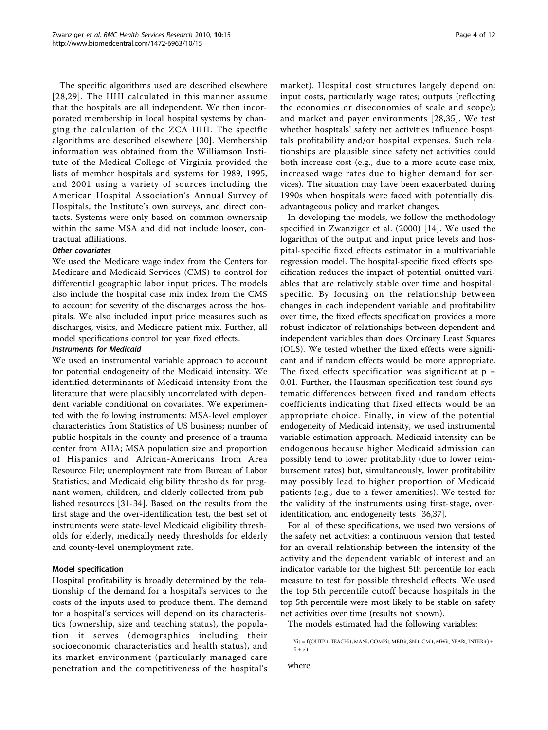The specific algorithms used are described elsewhere [[28,29](#page-11-0)]. The HHI calculated in this manner assume that the hospitals are all independent. We then incorporated membership in local hospital systems by changing the calculation of the ZCA HHI. The specific algorithms are described elsewhere [[30](#page-11-0)]. Membership information was obtained from the Williamson Institute of the Medical College of Virginia provided the lists of member hospitals and systems for 1989, 1995, and 2001 using a variety of sources including the American Hospital Association's Annual Survey of Hospitals, the Institute's own surveys, and direct contacts. Systems were only based on common ownership within the same MSA and did not include looser, contractual affiliations.

## Other covariates

We used the Medicare wage index from the Centers for Medicare and Medicaid Services (CMS) to control for differential geographic labor input prices. The models also include the hospital case mix index from the CMS to account for severity of the discharges across the hospitals. We also included input price measures such as discharges, visits, and Medicare patient mix. Further, all model specifications control for year fixed effects.

#### Instruments for Medicaid

We used an instrumental variable approach to account for potential endogeneity of the Medicaid intensity. We identified determinants of Medicaid intensity from the literature that were plausibly uncorrelated with dependent variable conditional on covariates. We experimented with the following instruments: MSA-level employer characteristics from Statistics of US business; number of public hospitals in the county and presence of a trauma center from AHA; MSA population size and proportion of Hispanics and African-Americans from Area Resource File; unemployment rate from Bureau of Labor Statistics; and Medicaid eligibility thresholds for pregnant women, children, and elderly collected from published resources [\[31](#page-11-0)-[34](#page-11-0)]. Based on the results from the first stage and the over-identification test, the best set of instruments were state-level Medicaid eligibility thresholds for elderly, medically needy thresholds for elderly and county-level unemployment rate.

## Model specification

Hospital profitability is broadly determined by the relationship of the demand for a hospital's services to the costs of the inputs used to produce them. The demand for a hospital's services will depend on its characteristics (ownership, size and teaching status), the population it serves (demographics including their socioeconomic characteristics and health status), and its market environment (particularly managed care penetration and the competitiveness of the hospital's market). Hospital cost structures largely depend on: input costs, particularly wage rates; outputs (reflecting the economies or diseconomies of scale and scope); and market and payer environments [[28](#page-11-0),[35](#page-11-0)]. We test whether hospitals' safety net activities influence hospitals profitability and/or hospital expenses. Such relationships are plausible since safety net activities could both increase cost (e.g., due to a more acute case mix, increased wage rates due to higher demand for services). The situation may have been exacerbated during 1990s when hospitals were faced with potentially disadvantageous policy and market changes.

In developing the models, we follow the methodology specified in Zwanziger et al. (2000) [\[14\]](#page-11-0). We used the logarithm of the output and input price levels and hospital-specific fixed effects estimator in a multivariable regression model. The hospital-specific fixed effects specification reduces the impact of potential omitted variables that are relatively stable over time and hospitalspecific. By focusing on the relationship between changes in each independent variable and profitability over time, the fixed effects specification provides a more robust indicator of relationships between dependent and independent variables than does Ordinary Least Squares (OLS). We tested whether the fixed effects were significant and if random effects would be more appropriate. The fixed effects specification was significant at  $p =$ 0.01. Further, the Hausman specification test found systematic differences between fixed and random effects coefficients indicating that fixed effects would be an appropriate choice. Finally, in view of the potential endogeneity of Medicaid intensity, we used instrumental variable estimation approach. Medicaid intensity can be endogenous because higher Medicaid admission can possibly tend to lower profitability (due to lower reimbursement rates) but, simultaneously, lower profitability may possibly lead to higher proportion of Medicaid patients (e.g., due to a fewer amenities). We tested for the validity of the instruments using first-stage, overidentification, and endogeneity tests [[36,37](#page-11-0)].

For all of these specifications, we used two versions of the safety net activities: a continuous version that tested for an overall relationship between the intensity of the activity and the dependent variable of interest and an indicator variable for the highest 5th percentile for each measure to test for possible threshold effects. We used the top 5th percentile cutoff because hospitals in the top 5th percentile were most likely to be stable on safety net activities over time (results not shown).

The models estimated had the following variables:

where

Yit = f(OUTPit, TEACHit, MANi, COMPit, MEDit, SNit, CMit, MWit, YEARt, INTERit) +  $fi + ei$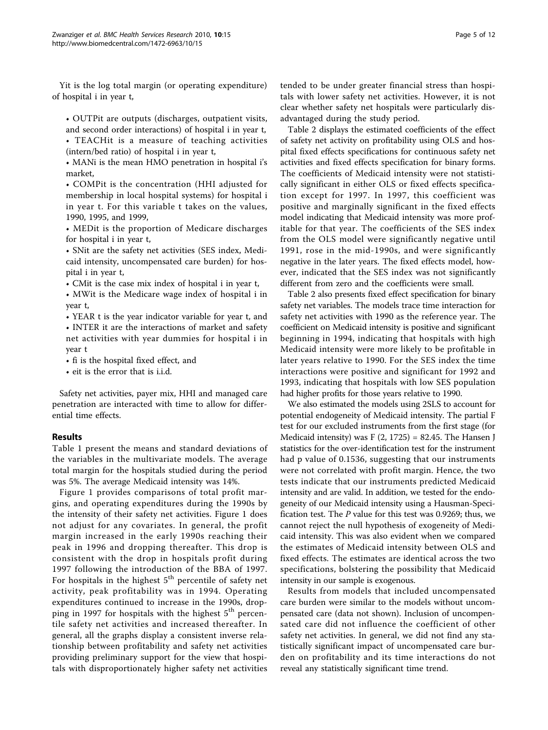Yit is the log total margin (or operating expenditure) of hospital i in year t,

• OUTPit are outputs (discharges, outpatient visits, and second order interactions) of hospital i in year t, • TEACHit is a measure of teaching activities

(intern/bed ratio) of hospital i in year t,

• MANi is the mean HMO penetration in hospital i's market,

• COMPit is the concentration (HHI adjusted for membership in local hospital systems) for hospital i in year t. For this variable t takes on the values, 1990, 1995, and 1999,

• MEDit is the proportion of Medicare discharges for hospital i in year t,

• SNit are the safety net activities (SES index, Medicaid intensity, uncompensated care burden) for hospital i in year t,

• CMit is the case mix index of hospital i in year t,

• MWit is the Medicare wage index of hospital i in year t,

• YEAR t is the year indicator variable for year t, and • INTER it are the interactions of market and safety net activities with year dummies for hospital i in year t

• fi is the hospital fixed effect, and

• eit is the error that is i.i.d.

Safety net activities, payer mix, HHI and managed care penetration are interacted with time to allow for differential time effects.

## Results

Table [1](#page-6-0) present the means and standard deviations of the variables in the multivariate models. The average total margin for the hospitals studied during the period was 5%. The average Medicaid intensity was 14%.

Figure [1](#page-5-0) provides comparisons of total profit margins, and operating expenditures during the 1990s by the intensity of their safety net activities. Figure [1](#page-5-0) does not adjust for any covariates. In general, the profit margin increased in the early 1990s reaching their peak in 1996 and dropping thereafter. This drop is consistent with the drop in hospitals profit during 1997 following the introduction of the BBA of 1997. For hospitals in the highest  $5<sup>th</sup>$  percentile of safety net activity, peak profitability was in 1994. Operating expenditures continued to increase in the 1990s, dropping in 1997 for hospitals with the highest  $5<sup>th</sup>$  percentile safety net activities and increased thereafter. In general, all the graphs display a consistent inverse relationship between profitability and safety net activities providing preliminary support for the view that hospitals with disproportionately higher safety net activities

tended to be under greater financial stress than hospitals with lower safety net activities. However, it is not clear whether safety net hospitals were particularly disadvantaged during the study period.

Table [2](#page-7-0) displays the estimated coefficients of the effect of safety net activity on profitability using OLS and hospital fixed effects specifications for continuous safety net activities and fixed effects specification for binary forms. The coefficients of Medicaid intensity were not statistically significant in either OLS or fixed effects specification except for 1997. In 1997, this coefficient was positive and marginally significant in the fixed effects model indicating that Medicaid intensity was more profitable for that year. The coefficients of the SES index from the OLS model were significantly negative until 1991, rose in the mid-1990s, and were significantly negative in the later years. The fixed effects model, however, indicated that the SES index was not significantly different from zero and the coefficients were small.

Table [2](#page-7-0) also presents fixed effect specification for binary safety net variables. The models trace time interaction for safety net activities with 1990 as the reference year. The coefficient on Medicaid intensity is positive and significant beginning in 1994, indicating that hospitals with high Medicaid intensity were more likely to be profitable in later years relative to 1990. For the SES index the time interactions were positive and significant for 1992 and 1993, indicating that hospitals with low SES population had higher profits for those years relative to 1990.

We also estimated the models using 2SLS to account for potential endogeneity of Medicaid intensity. The partial F test for our excluded instruments from the first stage (for Medicaid intensity) was  $F(2, 1725) = 82.45$ . The Hansen J statistics for the over-identification test for the instrument had p value of 0.1536, suggesting that our instruments were not correlated with profit margin. Hence, the two tests indicate that our instruments predicted Medicaid intensity and are valid. In addition, we tested for the endogeneity of our Medicaid intensity using a Hausman-Specification test. The P value for this test was 0.9269; thus, we cannot reject the null hypothesis of exogeneity of Medicaid intensity. This was also evident when we compared the estimates of Medicaid intensity between OLS and fixed effects. The estimates are identical across the two specifications, bolstering the possibility that Medicaid intensity in our sample is exogenous.

Results from models that included uncompensated care burden were similar to the models without uncompensated care (data not shown). Inclusion of uncompensated care did not influence the coefficient of other safety net activities. In general, we did not find any statistically significant impact of uncompensated care burden on profitability and its time interactions do not reveal any statistically significant time trend.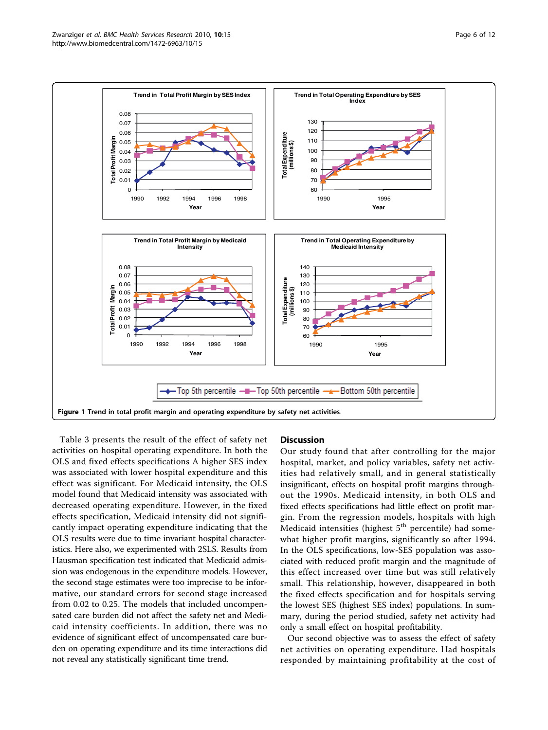<span id="page-5-0"></span>

Table [3](#page-9-0) presents the result of the effect of safety net activities on hospital operating expenditure. In both the OLS and fixed effects specifications A higher SES index was associated with lower hospital expenditure and this effect was significant. For Medicaid intensity, the OLS model found that Medicaid intensity was associated with decreased operating expenditure. However, in the fixed effects specification, Medicaid intensity did not significantly impact operating expenditure indicating that the OLS results were due to time invariant hospital characteristics. Here also, we experimented with 2SLS. Results from Hausman specification test indicated that Medicaid admission was endogenous in the expenditure models. However, the second stage estimates were too imprecise to be informative, our standard errors for second stage increased from 0.02 to 0.25. The models that included uncompensated care burden did not affect the safety net and Medicaid intensity coefficients. In addition, there was no evidence of significant effect of uncompensated care burden on operating expenditure and its time interactions did not reveal any statistically significant time trend.

## **Discussion**

Our study found that after controlling for the major hospital, market, and policy variables, safety net activities had relatively small, and in general statistically insignificant, effects on hospital profit margins throughout the 1990s. Medicaid intensity, in both OLS and fixed effects specifications had little effect on profit margin. From the regression models, hospitals with high Medicaid intensities (highest  $5<sup>th</sup>$  percentile) had somewhat higher profit margins, significantly so after 1994. In the OLS specifications, low-SES population was associated with reduced profit margin and the magnitude of this effect increased over time but was still relatively small. This relationship, however, disappeared in both the fixed effects specification and for hospitals serving the lowest SES (highest SES index) populations. In summary, during the period studied, safety net activity had only a small effect on hospital profitability.

Our second objective was to assess the effect of safety net activities on operating expenditure. Had hospitals responded by maintaining profitability at the cost of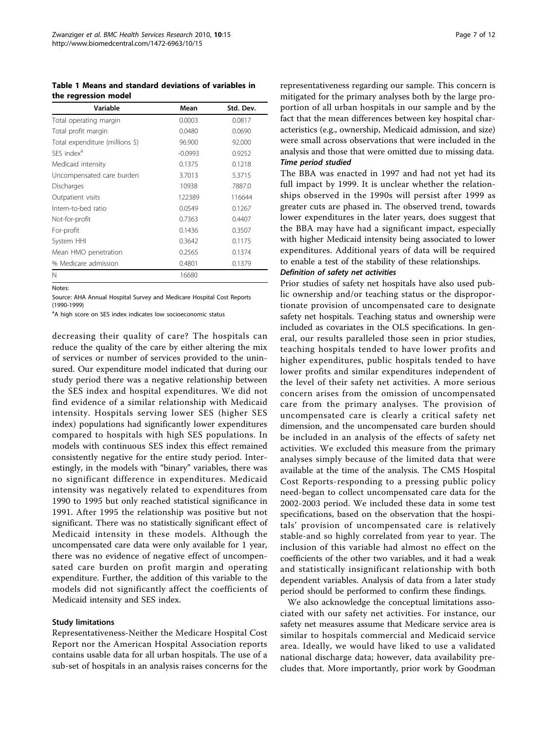<span id="page-6-0"></span>Table 1 Means and standard deviations of variables in the regression model

| Variable                        | Mean      | Std. Dev. |
|---------------------------------|-----------|-----------|
| Total operating margin          | 0.0003    | 0.0817    |
| Total profit margin             | 0.0480    | 0.0690    |
| Total expenditure (millions \$) | 96.900    | 92.000    |
| SFS index <sup>a</sup>          | $-0.0993$ | 0.9252    |
| Medicaid intensity              | 0.1375    | 0.1218    |
| Uncompensated care burden       | 3.7013    | 5.3715    |
| Discharges                      | 10938     | 7887.0    |
| Outpatient visits               | 122389    | 116644    |
| Intern-to-bed ratio             | 0.0549    | 0.1267    |
| Not-for-profit                  | 0.7363    | 0.4407    |
| For-profit                      | 0.1436    | 0.3507    |
| System HHI                      | 0.3642    | 0.1175    |
| Mean HMO penetration            | 0.2565    | 0.1374    |
| % Medicare admission            | 0.4801    | 0.1379    |
| N                               | 16680     |           |

Notes:

Source: AHA Annual Hospital Survey and Medicare Hospital Cost Reports (1990-1999)

<sup>a</sup>A high score on SES index indicates low socioeconomic status

decreasing their quality of care? The hospitals can reduce the quality of the care by either altering the mix of services or number of services provided to the uninsured. Our expenditure model indicated that during our study period there was a negative relationship between the SES index and hospital expenditures. We did not find evidence of a similar relationship with Medicaid intensity. Hospitals serving lower SES (higher SES index) populations had significantly lower expenditures compared to hospitals with high SES populations. In models with continuous SES index this effect remained consistently negative for the entire study period. Interestingly, in the models with "binary" variables, there was no significant difference in expenditures. Medicaid intensity was negatively related to expenditures from 1990 to 1995 but only reached statistical significance in 1991. After 1995 the relationship was positive but not significant. There was no statistically significant effect of Medicaid intensity in these models. Although the uncompensated care data were only available for 1 year, there was no evidence of negative effect of uncompensated care burden on profit margin and operating expenditure. Further, the addition of this variable to the models did not significantly affect the coefficients of Medicaid intensity and SES index.

## Study limitations

Representativeness-Neither the Medicare Hospital Cost Report nor the American Hospital Association reports contains usable data for all urban hospitals. The use of a sub-set of hospitals in an analysis raises concerns for the

representativeness regarding our sample. This concern is mitigated for the primary analyses both by the large proportion of all urban hospitals in our sample and by the fact that the mean differences between key hospital characteristics (e.g., ownership, Medicaid admission, and size) were small across observations that were included in the analysis and those that were omitted due to missing data. Time period studied

The BBA was enacted in 1997 and had not yet had its full impact by 1999. It is unclear whether the relationships observed in the 1990s will persist after 1999 as greater cuts are phased in. The observed trend, towards lower expenditures in the later years, does suggest that the BBA may have had a significant impact, especially with higher Medicaid intensity being associated to lower expenditures. Additional years of data will be required to enable a test of the stability of these relationships.

## Definition of safety net activities

Prior studies of safety net hospitals have also used public ownership and/or teaching status or the disproportionate provision of uncompensated care to designate safety net hospitals. Teaching status and ownership were included as covariates in the OLS specifications. In general, our results paralleled those seen in prior studies, teaching hospitals tended to have lower profits and higher expenditures, public hospitals tended to have lower profits and similar expenditures independent of the level of their safety net activities. A more serious concern arises from the omission of uncompensated care from the primary analyses. The provision of uncompensated care is clearly a critical safety net dimension, and the uncompensated care burden should be included in an analysis of the effects of safety net activities. We excluded this measure from the primary analyses simply because of the limited data that were available at the time of the analysis. The CMS Hospital Cost Reports-responding to a pressing public policy need-began to collect uncompensated care data for the 2002-2003 period. We included these data in some test specifications, based on the observation that the hospitals' provision of uncompensated care is relatively stable-and so highly correlated from year to year. The inclusion of this variable had almost no effect on the coefficients of the other two variables, and it had a weak and statistically insignificant relationship with both dependent variables. Analysis of data from a later study period should be performed to confirm these findings.

We also acknowledge the conceptual limitations associated with our safety net activities. For instance, our safety net measures assume that Medicare service area is similar to hospitals commercial and Medicaid service area. Ideally, we would have liked to use a validated national discharge data; however, data availability precludes that. More importantly, prior work by Goodman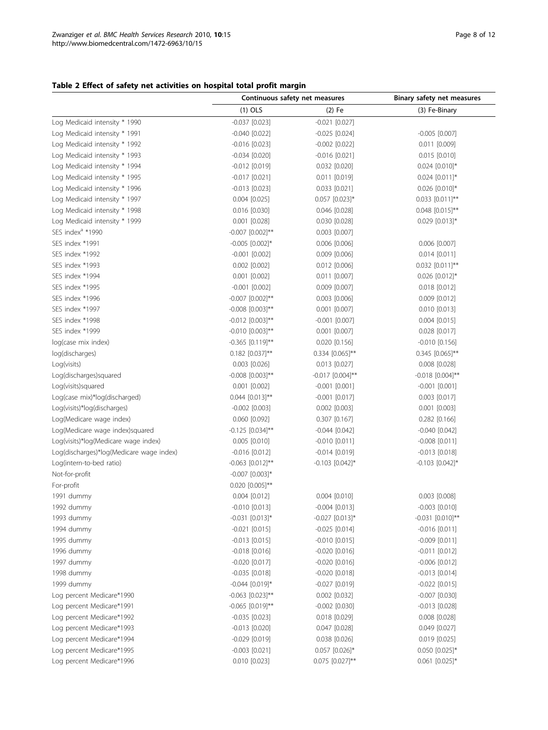## <span id="page-7-0"></span>Table 2 Effect of safety net activities on hospital total profit margin

|                                          | cty net activities on nospital total pront margin<br>Continuous safety net measures |                    | Binary safety net measures |  |
|------------------------------------------|-------------------------------------------------------------------------------------|--------------------|----------------------------|--|
|                                          | $(1)$ OLS                                                                           | (2) Fe             | (3) Fe-Binary              |  |
| Log Medicaid intensity * 1990            | $-0.037$ [0.023]                                                                    | $-0.021$ [0.027]   |                            |  |
| Log Medicaid intensity * 1991            | $-0.040$ [0.022]                                                                    | $-0.025$ [0.024]   | $-0.005$ [0.007]           |  |
| Log Medicaid intensity * 1992            | $-0.016$ [0.023]                                                                    | $-0.002$ [0.022]   | 0.011 [0.009]              |  |
| Log Medicaid intensity * 1993            | $-0.034$ [0.020]                                                                    | $-0.016$ [0.021]   | $0.015$ [0.010]            |  |
| Log Medicaid intensity * 1994            | $-0.012$ [0.019]                                                                    | 0.032 [0.020]      | $0.024$ [0.010]*           |  |
| Log Medicaid intensity * 1995            | $-0.017$ [0.021]                                                                    | 0.011 [0.019]      | $0.024$ [0.011]*           |  |
| Log Medicaid intensity * 1996            | $-0.013$ [0.023]                                                                    | 0.033 [0.021]      | 0.026 [0.010]*             |  |
| Log Medicaid intensity * 1997            | $0.004$ $[0.025]$                                                                   | 0.057 [0.023]*     | $0.033$ $[0.011]$ **       |  |
| Log Medicaid intensity * 1998            | 0.016 [0.030]                                                                       | $0.046$ [0.028]    | 0.048 [0.015]**            |  |
| Log Medicaid intensity * 1999            | 0.001 [0.028]                                                                       | 0.030 [0.028]      | $0.029$ [0.013]*           |  |
| SES index <sup>a</sup> *1990             | $-0.007$ [0.002]**                                                                  | $0.003$ $[0.007]$  |                            |  |
| SES index *1991                          | $-0.005$ [0.002]*                                                                   | 0.006 [0.006]      | 0.006 [0.007]              |  |
| SES index *1992                          | $-0.001$ [0.002]                                                                    | $0.009$ $[0.006]$  | $0.014$ $[0.011]$          |  |
| SES index *1993                          | 0.002 [0.002]                                                                       | 0.012 [0.006]      | 0.032 [0.011]**            |  |
| SES index *1994                          | $0.001$ $[0.002]$                                                                   | 0.011 [0.007]      | 0.026 [0.012]*             |  |
| SES index *1995                          | $-0.001$ [0.002]                                                                    | 0.009 [0.007]      | $0.018$ $[0.012]$          |  |
| SES index *1996                          | $-0.007$ [0.002]**                                                                  | $0.003$ $[0.006]$  | 0.009 [0.012]              |  |
| SES index *1997                          | $-0.008$ [0.003]**                                                                  | $0.001$ $[0.007]$  | 0.010 [0.013]              |  |
| SES index *1998                          | $-0.012$ [0.003]**                                                                  | $-0.001$ [0.007]   | $0.004$ $[0.015]$          |  |
| SES index *1999                          | $-0.010$ [0.003]**                                                                  | $0.001$ $[0.007]$  | $0.028$ $[0.017]$          |  |
| log(case mix index)                      | $-0.365$ [0.119]**                                                                  | 0.020 [0.156]      | $-0.010$ [0.156]           |  |
| log(discharges)                          | $0.182$ [0.037]**                                                                   | 0.334 [0.065]**    | 0.345 [0.065]**            |  |
| Log(visits)                              | $0.003$ $[0.026]$                                                                   | $0.013$ $[0.027]$  | 0.008 [0.028]              |  |
| Log(discharges) squared                  | $-0.008$ [0.003]**                                                                  | $-0.017$ [0.004]** | $-0.018$ [0.004]**         |  |
| Log(visits) squared                      | $0.001$ $[0.002]$                                                                   | $-0.001$ [0.001]   | $-0.001$ [0.001]           |  |
| Log(case mix)*log(discharged)            | $0.044$ $[0.013]$ **                                                                | $-0.001$ [0.017]   | $0.003$ $[0.017]$          |  |
| Log(visits)*log(discharges)              | $-0.002$ [0.003]                                                                    | $0.002$ $[0.003]$  | $0.001$ $[0.003]$          |  |
| Log(Medicare wage index)                 | 0.060 [0.092]                                                                       | 0.307 [0.167]      | $0.282$ [0.166]            |  |
| Log(Medicare wage index)squared          | $-0.125$ [0.034]**                                                                  | $-0.044$ [0.042]   | $-0.040$ [0.042]           |  |
| Log(visits)*log(Medicare wage index)     | $0.005$ $[0.010]$                                                                   | $-0.010$ [0.011]   | $-0.008$ [0.011]           |  |
| Log(discharges)*log(Medicare wage index) | $-0.016$ [0.012]                                                                    | $-0.014$ [0.019]   | $-0.013$ [0.018]           |  |
| Log(intern-to-bed ratio)                 | $-0.063$ [0.012]**                                                                  | $-0.103$ [0.042]*  | $-0.103$ [0.042]*          |  |
| Not-for-profit                           | $-0.007$ [0.003]*                                                                   |                    |                            |  |
| For-profit                               | 0.020 [0.005]**                                                                     |                    |                            |  |
| 1991 dummy                               | $0.004$ $[0.012]$                                                                   | $0.004$ $[0.010]$  | 0.003 [0.008]              |  |
| 1992 dummy                               | $-0.010$ [0.013]                                                                    | $-0.004$ [0.013]   | $-0.003$ [0.010]           |  |
| 1993 dummy                               | $-0.031$ [0.013]*                                                                   | $-0.027$ [0.013]*  | $-0.031$ [0.010]**         |  |
| 1994 dummy                               | $-0.021$ [0.015]                                                                    | $-0.025$ [0.014]   | $-0.016$ [0.011]           |  |
| 1995 dummy                               | $-0.013$ [0.015]                                                                    | $-0.010$ [0.015]   | $-0.009$ [0.011]           |  |
| 1996 dummy                               | $-0.018$ [0.016]                                                                    | $-0.020$ [0.016]   | $-0.011$ [0.012]           |  |
| 1997 dummy                               | $-0.020$ [0.017]                                                                    | $-0.020$ [0.016]   | $-0.006$ [0.012]           |  |
| 1998 dummy                               | $-0.035$ [0.018]                                                                    | $-0.020$ [0.018]   | $-0.013$ [0.014]           |  |
| 1999 dummy                               | $-0.044$ [0.019]*                                                                   | $-0.027$ [0.019]   | $-0.022$ [0.015]           |  |
| Log percent Medicare*1990                | $-0.063$ [0.023]**                                                                  | 0.002 [0.032]      | $-0.007$ [0.030]           |  |
| Log percent Medicare*1991                | $-0.065$ [0.019]**                                                                  | $-0.002$ [0.030]   | $-0.013$ [0.028]           |  |
| Log percent Medicare*1992                | $-0.035$ [0.023]                                                                    | 0.018 [0.029]      | $0.008$ $[0.028]$          |  |
| Log percent Medicare*1993                | $-0.013$ [0.020]                                                                    | 0.047 [0.028]      | $0.049$ $[0.027]$          |  |
| Log percent Medicare*1994                | $-0.029$ [0.019]                                                                    | 0.038 [0.026]      | $0.019$ $[0.025]$          |  |
| Log percent Medicare*1995                | $-0.003$ $[0.021]$                                                                  | $0.057$ [0.026]*   | 0.050 [0.025]*             |  |
| Log percent Medicare*1996                | 0.010 [0.023]                                                                       | 0.075 [0.027]**    | 0.061 [0.025]*             |  |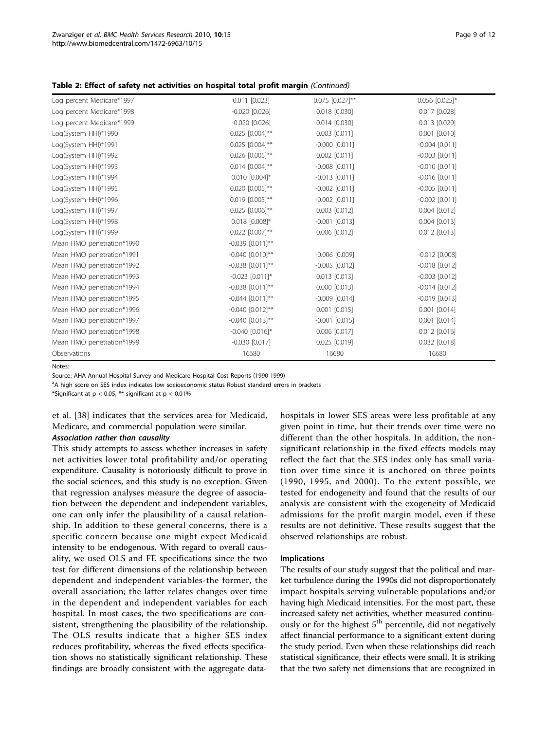| Table 2: Effect of safety net activities on hospital total profit margin (Commuta) |                       |                      |                   |
|------------------------------------------------------------------------------------|-----------------------|----------------------|-------------------|
| Log percent Medicare*1997                                                          | $0.011$ $[0.023]$     | $0.075$ $[0.027]$ ** | $0.056$ [0.025]*  |
| Log percent Medicare*1998                                                          | $-0.020$ [0.026]      | 0.018 [0.030]        | $0.017$ $[0.028]$ |
| Log percent Medicare*1999                                                          | $-0.020$ [0.026]      | $0.014$ $[0.030]$    | 0.013 [0.029]     |
| Log(System HHI)*1990                                                               | $0.025$ $[0.004]$ **  | $0.003$ $[0.011]$    | $0.001$ $[0.010]$ |
| Log(System HHI)*1991                                                               | $0.025$ $[0.004]$ **  | $-0.000$ $[0.011]$   | $-0.004$ [0.011]  |
| Log(System HHI)*1992                                                               | $0.026$ $[0.005]$ **  | $0.002$ $[0.011]$    | $-0.003$ [0.011]  |
| Log(System HHI)*1993                                                               | $0.014$ $[0.004]$ **  | $-0.008$ [0.011]     | $-0.010$ [0.011]  |
| Log(System HHI)*1994                                                               | $0.010$ $[0.004]$ *   | $-0.013$ [0.011]     | $-0.016$ [0.011]  |
| Log(System HHI)*1995                                                               | $0.020$ $[0.005]$ **  | $-0.002$ [0.011]     | $-0.005$ [0.011]  |
| Log(System HHI)*1996                                                               | $0.019$ $[0.005]$ **  | $-0.002$ [0.011]     | $-0.002$ [0.011]  |
| Log(System HHI)*1997                                                               | $0.025$ $[0.006]$ **  | $0.003$ $[0.012]$    | $0.004$ $[0.012]$ |
| Log(System HHI)*1998                                                               | $0.018$ $[0.008]$ *   | $-0.001$ [0.013]     | $0.004$ $[0.013]$ |
| Log(System HHI)*1999                                                               | $0.022$ $[0.007]$ **  | $0.006$ $[0.012]$    | $0.012$ $[0.013]$ |
| Mean HMO penetration*1990                                                          | $-0.039$ $[0.011]$ ** |                      |                   |
| Mean HMO penetration*1991                                                          | $-0.040$ $[0.010]$ ** | $-0.006$ [0.009]     | $-0.012$ [0.008]  |
| Mean HMO penetration*1992                                                          | $-0.038$ [0.011]**    | $-0.005$ [0.012]     | $-0.018$ [0.012]  |
| Mean HMO penetration*1993                                                          | $-0.023$ $[0.011]$ *  | $0.013$ $[0.013]$    | $-0.003$ [0.012]  |
| Mean HMO penetration*1994                                                          | $-0.038$ [0.011]**    | $0.000$ $[0.013]$    | $-0.014$ [0.012]  |
| Mean HMO penetration*1995                                                          | $-0.044$ $[0.011]$ ** | $-0.009$ [0.014]     | $-0.019$ [0.013]  |
| Mean HMO penetration*1996                                                          | $-0.040$ $[0.012]$ ** | $0.001$ $[0.015]$    | $0.001$ $[0.014]$ |
| Mean HMO penetration*1997                                                          | $-0.040$ $[0.013]$ ** | $-0.001$ [0.015]     | $0.001$ $[0.014]$ |
| Mean HMO penetration*1998                                                          | $-0.040$ $[0.016]$ *  | 0.006 [0.017]        | $0.012$ $[0.016]$ |
| Mean HMO penetration*1999                                                          | $-0.030$ [0.017]      | 0.025 [0.019]        | $0.032$ $[0.018]$ |
| Observations                                                                       | 16680                 | 16680                | 16680             |

Table 2: Effect of safety net activities on hospital total profit margin (Continued)

Notes:

Source: AHA Annual Hospital Survey and Medicare Hospital Cost Reports (1990-1999)

<sup>a</sup>A high score on SES index indicates low socioeconomic status Robust standard errors in brackets

\*Significant at  $p < 0.05$ ; \*\* significant at  $p < 0.01\%$ 

et al. [[38](#page-11-0)] indicates that the services area for Medicaid, Medicare, and commercial population were similar.

## Association rather than causality

This study attempts to assess whether increases in safety net activities lower total profitability and/or operating expenditure. Causality is notoriously difficult to prove in the social sciences, and this study is no exception. Given that regression analyses measure the degree of association between the dependent and independent variables, one can only infer the plausibility of a causal relationship. In addition to these general concerns, there is a specific concern because one might expect Medicaid intensity to be endogenous. With regard to overall causality, we used OLS and FE specifications since the two test for different dimensions of the relationship between dependent and independent variables-the former, the overall association; the latter relates changes over time in the dependent and independent variables for each hospital. In most cases, the two specifications are consistent, strengthening the plausibility of the relationship. The OLS results indicate that a higher SES index reduces profitability, whereas the fixed effects specification shows no statistically significant relationship. These findings are broadly consistent with the aggregate datahospitals in lower SES areas were less profitable at any given point in time, but their trends over time were no different than the other hospitals. In addition, the nonsignificant relationship in the fixed effects models may reflect the fact that the SES index only has small variation over time since it is anchored on three points (1990, 1995, and 2000). To the extent possible, we tested for endogeneity and found that the results of our analysis are consistent with the exogeneity of Medicaid admissions for the profit margin model, even if these results are not definitive. These results suggest that the observed relationships are robust.

#### Implications

The results of our study suggest that the political and market turbulence during the 1990s did not disproportionately impact hospitals serving vulnerable populations and/or having high Medicaid intensities. For the most part, these increased safety net activities, whether measured continuously or for the highest  $5<sup>th</sup>$  percentile, did not negatively affect financial performance to a significant extent during the study period. Even when these relationships did reach statistical significance, their effects were small. It is striking that the two safety net dimensions that are recognized in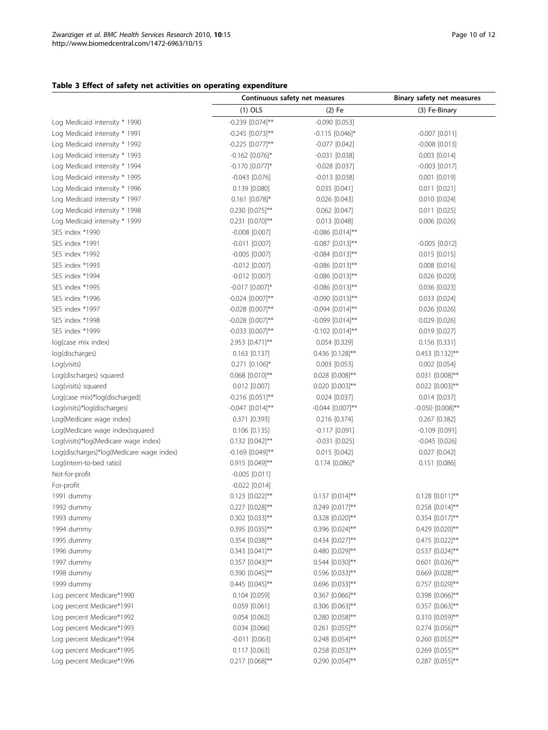## <span id="page-9-0"></span>Table 3 Effect of safety net activities on operating expenditure

| pic 5 Encer of Suicity net activities on operating | Continuous safety net measures |                       | Binary safety net measures |  |
|----------------------------------------------------|--------------------------------|-----------------------|----------------------------|--|
|                                                    | $(1)$ OLS                      | $(2)$ Fe              | (3) Fe-Binary              |  |
| Log Medicaid intensity * 1990                      | $-0.239$ [0.074]**             | $-0.090$ [0.053]      |                            |  |
| Log Medicaid intensity * 1991                      | $-0.245$ [0.073]**             | $-0.115$ [0.046]*     | $-0.007$ [0.011]           |  |
| Log Medicaid intensity * 1992                      | $-0.225$ [0.077]**             | $-0.077$ [0.042]      | $-0.008$ [0.013]           |  |
| Log Medicaid intensity * 1993                      | $-0.162$ [0.076]*              | $-0.031$ [0.038]      | $0.003$ $[0.014]$          |  |
| Log Medicaid intensity * 1994                      | $-0.170$ [0.077]*              | $-0.028$ [0.037]      | $-0.003$ [0.017]           |  |
| Log Medicaid intensity * 1995                      | $-0.043$ [0.076]               | $-0.013$ [0.038]      | $0.001$ $[0.019]$          |  |
| Log Medicaid intensity * 1996                      | 0.139 [0.080]                  | 0.035 [0.041]         | $0.011$ $[0.021]$          |  |
| Log Medicaid intensity * 1997                      | $0.161$ [0.078]*               | $0.026$ $[0.043]$     | 0.010 [0.024]              |  |
| Log Medicaid intensity * 1998                      | 0.230 [0.075]**                | $0.062$ $[0.047]$     | $0.011$ $[0.025]$          |  |
| Log Medicaid intensity * 1999                      | 0.231 [0.070]**                | 0.013 [0.048]         | $0.006$ $[0.026]$          |  |
| SES index *1990                                    | $-0.008$ [0.007]               | $-0.086$ [0.014]**    |                            |  |
| SES index *1991                                    | $-0.011$ [0.007]               | $-0.087$ [0.013]**    | $-0.005$ [0.012]           |  |
| SES index *1992                                    | $-0.005$ [0.007]               | $-0.084$ [0.013]**    | $0.015$ [0.015]            |  |
| SES index *1993                                    | $-0.012$ [0.007]               | $-0.086$ [0.013]**    | $0.008$ $[0.016]$          |  |
| SES index *1994                                    | $-0.012$ [0.007]               | $-0.086$ $[0.013]$ ** | $0.026$ $[0.020]$          |  |
| SES index *1995                                    | $-0.017$ [0.007]*              | $-0.086$ [0.013]**    | $0.036$ $[0.023]$          |  |
| SES index *1996                                    | $-0.024$ [0.007]**             | $-0.090$ [0.013]**    | 0.033 [0.024]              |  |
| SES index *1997                                    | $-0.028$ [0.007]**             | $-0.094$ $[0.014]$ ** | 0.026 [0.026]              |  |
| SES index *1998                                    | $-0.028$ [0.007]**             | $-0.099$ $[0.014]$ ** | 0.029 [0.026]              |  |
| SES index *1999                                    | $-0.033$ [0.007]**             | $-0.102$ [0.014]**    | 0.019 [0.027]              |  |
| log(case mix index)                                | 2.953 [0.471]**                | $0.054$ [0.329]       | $0.156$ [0.331]            |  |
| log(discharges)                                    | $0.163$ [0.137]                | 0.436 [0.128]**       | 0.453 [0.132]**            |  |
| Log(visits)                                        | $0.271$ [0.106]*               | 0.003 [0.053]         | $0.002$ $[0.054]$          |  |
| Log(discharges) squared                            | 0.068 [0.010]**                | 0.028 [0.008]**       | $0.031$ $[0.008]$ **       |  |
| Log(visits) squared                                | 0.012 [0.007]                  | 0.020 [0.003]**       | $0.022$ [0.003]**          |  |
| Log(case mix)*log(discharged)                      | $-0.216$ [0.051]**             | 0.024 [0.037]         | $0.014$ [0.037]            |  |
| Log(visits)*log(discharges)                        | $-0.047$ [0.014]**             | $-0.044$ [0.007]**    | $-0.050$ [0.008]**         |  |
| Log(Medicare wage index)                           | 0.371 [0.393]                  | 0.216 [0.374]         | 0.267 [0.382]              |  |
| Log(Medicare wage index)squared                    | $0.106$ [0.135]                | $-0.117$ [0.091]      | $-0.109$ [0.091]           |  |
| Log(visits)*log(Medicare wage index)               | 0.132 [0.042]**                | $-0.031$ [0.025]      | $-0.045$ [0.026]           |  |
| Log(discharges)*log(Medicare wage index)           | $-0.169$ [0.049]**             | 0.015 [0.042]         | $0.027$ $[0.042]$          |  |
| Log(intern-to-bed ratio)                           | 0.915 [0.049]**                | 0.174 [0.086]*        | 0.151 [0.086]              |  |
| Not-for-profit                                     | $-0.005$ [0.011]               |                       |                            |  |
| For-profit                                         | $-0.022$ [0.014]               |                       |                            |  |
| 1991 dummy                                         | $0.123$ [0.022]**              | $0.137$ [0.014]**     | $0.128$ [0.011]**          |  |
| 1992 dummy                                         | $0.227$ [0.028]**              | 0.249 [0.017]**       | $0.258$ [0.014]**          |  |
| 1993 dummy                                         | 0.302 [0.033]**                | 0.328 [0.020]**       | $0.354$ [0.017]**          |  |
| 1994 dummy                                         | $0.395$ $[0.035]$ **           | 0.396 [0.024]**       | 0.429 [0.020]**            |  |
| 1995 dummy                                         | $0.354$ [0.038]**              | 0.434 [0.027]**       | 0.475 [0.022]**            |  |
| 1996 dummy                                         | $0.343$ $[0.041]$ **           | 0.480 [0.029]**       | 0.537 [0.024]**            |  |
| 1997 dummy                                         | $0.357$ [0.043]**              | $0.544$ [0.030]**     | $0.601$ [0.026]**          |  |
| 1998 dummy                                         | 0.390 [0.045]**                | 0.596 [0.033]**       | 0.669 [0.028]**            |  |
| 1999 dummy                                         | 0.445 [0.045]**                | $0.696$ $[0.033]$ **  | 0.757 [0.029]**            |  |
| Log percent Medicare*1990                          | 0.104 [0.059]                  | $0.367$ [0.066]**     | 0.398 [0.066]**            |  |
| Log percent Medicare*1991                          | $0.059$ $[0.061]$              | 0.306 [0.063]**       | $0.357$ [0.063]**          |  |
| Log percent Medicare*1992                          | $0.054$ $[0.062]$              | 0.280 [0.058]**       | 0.310 [0.059]**            |  |
| Log percent Medicare*1993                          | $0.034$ $[0.066]$              | $0.261$ [0.055]**     | $0.274$ [0.056]**          |  |
| Log percent Medicare*1994                          | $-0.011$ [0.063]               | 0.248 [0.054]**       | $0.260$ [0.055]**          |  |
| Log percent Medicare*1995                          | $0.117$ $[0.063]$              | 0.258 [0.053]**       | $0.269$ [0.055]**          |  |
| Log percent Medicare*1996                          | 0.217 [0.068]**                | 0.290 [0.054]**       | 0.287 [0.055]**            |  |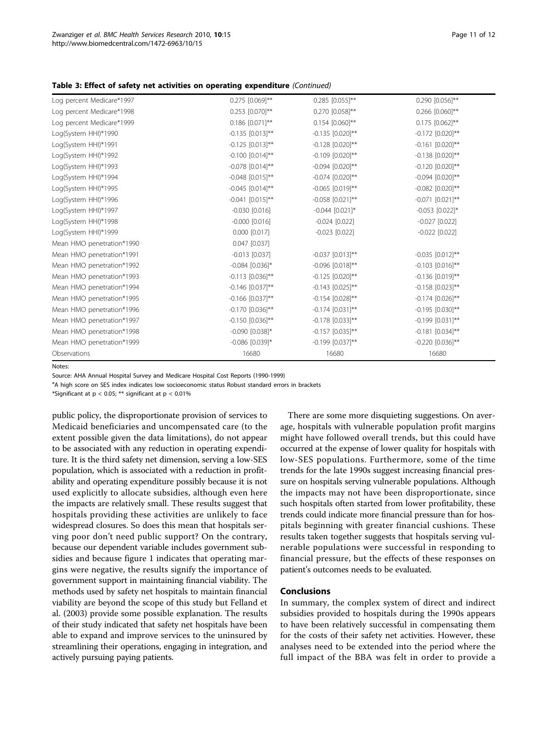| Table 3: Effect of safety net activities on operating expenditure (Continued) |  |  |
|-------------------------------------------------------------------------------|--|--|
|-------------------------------------------------------------------------------|--|--|

| Log percent Medicare*1997 | $0.275$ [0.069]**     |                       |                       |
|---------------------------|-----------------------|-----------------------|-----------------------|
|                           |                       | $0.285$ $[0.055]$ **  | 0.290 [0.056]**       |
| Log percent Medicare*1998 | $0.253$ $[0.070]$ **  | 0.270 [0.058]**       | $0.266$ [0.060]**     |
| Log percent Medicare*1999 | $0.186$ [0.071]**     | $0.154$ $[0.060]$ **  | $0.175$ $[0.062]$ **  |
| Log(System HHI)*1990      | $-0.135$ $[0.013]$ ** | $-0.135$ $[0.020]$ ** | $-0.172$ [0.020]**    |
| Log(System HHI)*1991      | $-0.125$ [0.013]**    | $-0.128$ [0.020]**    | $-0.161$ [0.020]**    |
| Log(System HHI)*1992      | $-0.100$ [0.014]**    | $-0.109$ $[0.020]$ ** | $-0.138$ [0.020]**    |
| Log(System HHI)*1993      | $-0.078$ [0.014]**    | $-0.094$ $[0.020]$ ** | $-0.120$ [0.020]**    |
| Log(System HHI)*1994      | $-0.048$ [0.015]**    | $-0.074$ [0.020]**    | $-0.094$ $[0.020]$ ** |
| Log(System HHI)*1995      | $-0.045$ [0.014]**    | $-0.065$ [0.019]**    | $-0.082$ [0.020]**    |
| Log(System HHI)*1996      | $-0.041$ [0.015]**    | $-0.058$ [0.021]**    | $-0.071$ [0.021]**    |
| Log(System HHI)*1997      | $-0.030$ $[0.016]$    | $-0.044$ $[0.021]$ *  | $-0.053$ [0.022]*     |
| Log(System HHI)*1998      | $-0.000$ [0.016]      | $-0.024$ [0.022]      | $-0.027$ $[0.022]$    |
| Log(System HHI)*1999      | 0.000 [0.017]         | $-0.023$ [0.022]      | $-0.022$ $[0.022]$    |
| Mean HMO penetration*1990 | $0.047$ $[0.037]$     |                       |                       |
| Mean HMO penetration*1991 | $-0.013$ [0.037]      | $-0.037$ [0.013]**    | $-0.035$ [0.012]**    |
| Mean HMO penetration*1992 | $-0.084$ [0.036]*     | $-0.096$ $[0.018]$ ** | $-0.103$ $[0.016]$ ** |
| Mean HMO penetration*1993 | $-0.113$ [0.036]**    | $-0.125$ [0.020]**    | $-0.136$ [0.019]**    |
| Mean HMO penetration*1994 | $-0.146$ [0.037]**    | $-0.143$ [0.025]**    | $-0.158$ [0.023]**    |
| Mean HMO penetration*1995 | $-0.166$ [0.037]**    | $-0.154$ [0.028]**    | $-0.174$ [0.026]**    |
| Mean HMO penetration*1996 | $-0.170$ [0.036]**    | $-0.174$ [0.031]**    | $-0.195$ [0.030]**    |
| Mean HMO penetration*1997 | $-0.150$ [0.036]**    | $-0.178$ [0.033]**    | $-0.199$ [0.031]**    |
| Mean HMO penetration*1998 | $-0.090$ [0.038]*     | $-0.157$ [0.035]**    | $-0.181$ $[0.034]$ ** |
| Mean HMO penetration*1999 | $-0.086$ [0.039]*     | $-0.199$ [0.037]**    | $-0.220$ [0.036]**    |
| Observations              | 16680                 | 16680                 | 16680                 |

Notes:

Source: AHA Annual Hospital Survey and Medicare Hospital Cost Reports (1990-1999)

<sup>a</sup>A high score on SES index indicates low socioeconomic status Robust standard errors in brackets

\*Significant at  $p < 0.05$ ; \*\* significant at  $p < 0.01\%$ 

public policy, the disproportionate provision of services to Medicaid beneficiaries and uncompensated care (to the extent possible given the data limitations), do not appear to be associated with any reduction in operating expenditure. It is the third safety net dimension, serving a low-SES population, which is associated with a reduction in profitability and operating expenditure possibly because it is not used explicitly to allocate subsidies, although even here the impacts are relatively small. These results suggest that hospitals providing these activities are unlikely to face widespread closures. So does this mean that hospitals serving poor don't need public support? On the contrary, because our dependent variable includes government subsidies and because figure [1](#page-5-0) indicates that operating margins were negative, the results signify the importance of government support in maintaining financial viability. The methods used by safety net hospitals to maintain financial viability are beyond the scope of this study but Felland et al. (2003) provide some possible explanation. The results of their study indicated that safety net hospitals have been able to expand and improve services to the uninsured by streamlining their operations, engaging in integration, and actively pursuing paying patients.

There are some more disquieting suggestions. On average, hospitals with vulnerable population profit margins might have followed overall trends, but this could have occurred at the expense of lower quality for hospitals with low-SES populations. Furthermore, some of the time trends for the late 1990s suggest increasing financial pressure on hospitals serving vulnerable populations. Although the impacts may not have been disproportionate, since such hospitals often started from lower profitability, these trends could indicate more financial pressure than for hospitals beginning with greater financial cushions. These results taken together suggests that hospitals serving vulnerable populations were successful in responding to financial pressure, but the effects of these responses on patient's outcomes needs to be evaluated.

## Conclusions

In summary, the complex system of direct and indirect subsidies provided to hospitals during the 1990s appears to have been relatively successful in compensating them for the costs of their safety net activities. However, these analyses need to be extended into the period where the full impact of the BBA was felt in order to provide a